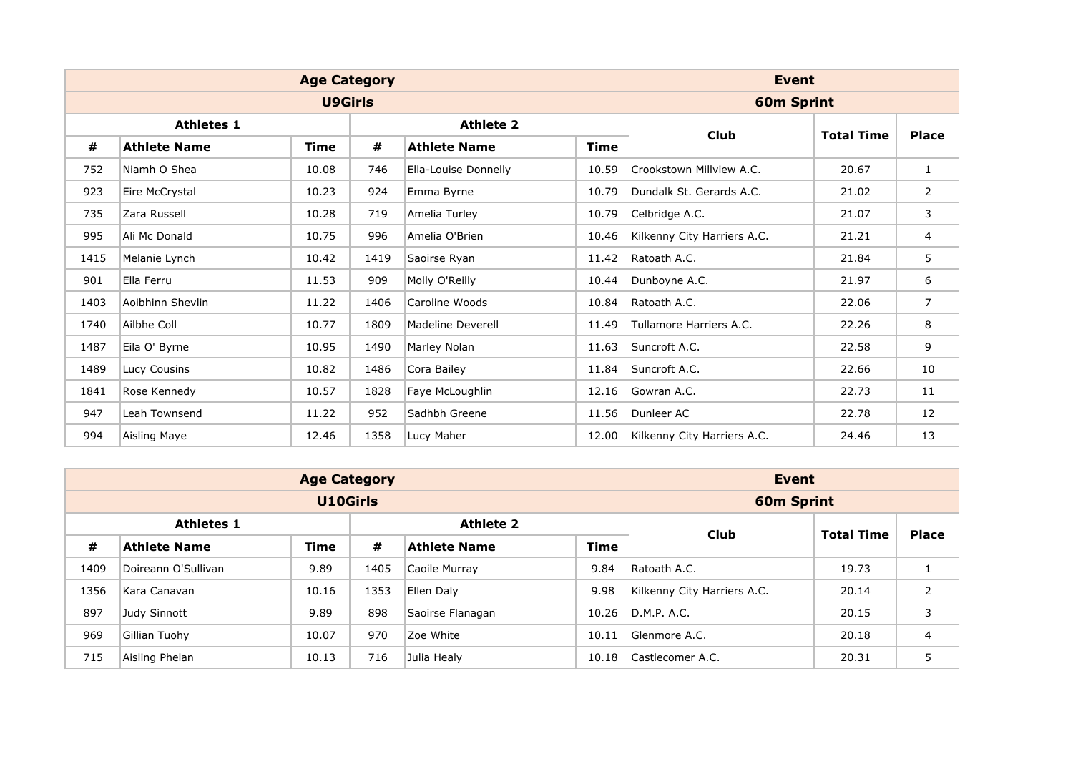|      |                     | <b>Age Category</b> |      |                          |             | Event                       |                   |                |
|------|---------------------|---------------------|------|--------------------------|-------------|-----------------------------|-------------------|----------------|
|      |                     | <b>U9Girls</b>      |      |                          |             | <b>60m Sprint</b>           |                   |                |
|      | <b>Athletes 1</b>   |                     |      | <b>Athlete 2</b>         |             |                             |                   |                |
| #    | <b>Athlete Name</b> | <b>Time</b>         | #    | <b>Athlete Name</b>      | <b>Time</b> | <b>Club</b>                 | <b>Total Time</b> | <b>Place</b>   |
| 752  | Niamh O Shea        | 10.08               | 746  | Ella-Louise Donnelly     | 10.59       | Crookstown Millview A.C.    | 20.67             | $\mathbf{1}$   |
| 923  | Eire McCrystal      | 10.23               | 924  | Emma Byrne               | 10.79       | Dundalk St. Gerards A.C.    | 21.02             | 2              |
| 735  | Zara Russell        | 10.28               | 719  | Amelia Turley            | 10.79       | Celbridge A.C.              | 21.07             | 3              |
| 995  | Ali Mc Donald       | 10.75               | 996  | Amelia O'Brien           | 10.46       | Kilkenny City Harriers A.C. | 21.21             | $\overline{4}$ |
| 1415 | Melanie Lynch       | 10.42               | 1419 | Saoirse Ryan             | 11.42       | Ratoath A.C.                | 21.84             | 5              |
| 901  | Ella Ferru          | 11.53               | 909  | Molly O'Reilly           | 10.44       | Dunboyne A.C.               | 21.97             | 6              |
| 1403 | Aoibhinn Shevlin    | 11.22               | 1406 | Caroline Woods           | 10.84       | Ratoath A.C.                | 22.06             | $\overline{7}$ |
| 1740 | Ailbhe Coll         | 10.77               | 1809 | <b>Madeline Deverell</b> | 11.49       | Tullamore Harriers A.C.     | 22.26             | 8              |
| 1487 | Eila O' Byrne       | 10.95               | 1490 | Marley Nolan             | 11.63       | Suncroft A.C.               | 22.58             | 9              |
| 1489 | Lucy Cousins        | 10.82               | 1486 | Cora Bailey              | 11.84       | Suncroft A.C.               | 22.66             | 10             |
| 1841 | Rose Kennedy        | 10.57               | 1828 | Faye McLoughlin          | 12.16       | Gowran A.C.                 | 22.73             | 11             |
| 947  | Leah Townsend       | 11.22               | 952  | Sadhbh Greene            | 11.56       | Dunleer AC                  | 22.78             | 12             |
| 994  | Aisling Maye        | 12.46               | 1358 | Lucy Maher               | 12.00       | Kilkenny City Harriers A.C. | 24.46             | 13             |

|      |                     | <b>Age Category</b> |                   |                     |             | Event                       |       |                |
|------|---------------------|---------------------|-------------------|---------------------|-------------|-----------------------------|-------|----------------|
|      |                     | <b>U10Girls</b>     |                   |                     |             | <b>60m Sprint</b>           |       |                |
|      | <b>Athletes 1</b>   | Club                | <b>Total Time</b> | <b>Place</b>        |             |                             |       |                |
| #    | Athlete Name        | <b>Time</b>         | #                 | <b>Athlete Name</b> | <b>Time</b> |                             |       |                |
| 1409 | Doireann O'Sullivan | 9.89                | 1405              | Caoile Murray       | 9.84        | Ratoath A.C.                | 19.73 |                |
| 1356 | Kara Canavan        | 10.16               | 1353              | Ellen Daly          | 9.98        | Kilkenny City Harriers A.C. | 20.14 | 2              |
| 897  | Judy Sinnott        | 9.89                | 898               | Saoirse Flanagan    | 10.26       | D.M.P. A.C.                 | 20.15 | 3              |
| 969  | Gillian Tuohy       | 10.07               | 970               | Zoe White           | 10.11       | Glenmore A.C.               | 20.18 | $\overline{4}$ |
| 715  | Aisling Phelan      | 10.13               | 716               | Julia Healy         | 10.18       | Castlecomer A.C.            | 20.31 | 5              |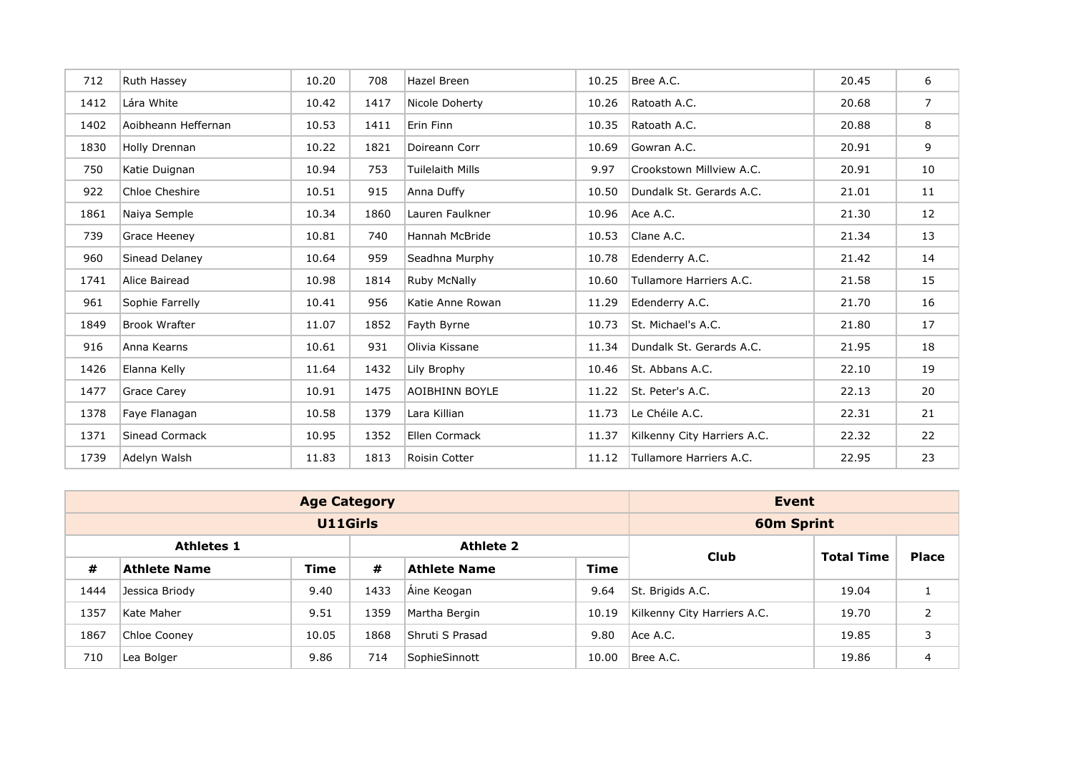| 712  | Ruth Hassey          | 10.20 | 708  | Hazel Breen             | 10.25 | Bree A.C.                   | 20.45 | 6           |
|------|----------------------|-------|------|-------------------------|-------|-----------------------------|-------|-------------|
| 1412 | Lára White           | 10.42 | 1417 | Nicole Doherty          | 10.26 | Ratoath A.C.                | 20.68 | $7^{\circ}$ |
| 1402 | Aoibheann Heffernan  | 10.53 | 1411 | Erin Finn               | 10.35 | Ratoath A.C.                | 20.88 | 8           |
| 1830 | Holly Drennan        | 10.22 | 1821 | Doireann Corr           | 10.69 | Gowran A.C.                 | 20.91 | 9           |
| 750  | Katie Duignan        | 10.94 | 753  | <b>Tuilelaith Mills</b> | 9.97  | Crookstown Millview A.C.    | 20.91 | 10          |
| 922  | Chloe Cheshire       | 10.51 | 915  | Anna Duffy              | 10.50 | Dundalk St. Gerards A.C.    | 21.01 | 11          |
| 1861 | Naiya Semple         | 10.34 | 1860 | Lauren Faulkner         | 10.96 | Ace A.C.                    | 21.30 | 12          |
| 739  | Grace Heeney         | 10.81 | 740  | Hannah McBride          | 10.53 | Clane A.C.                  | 21.34 | 13          |
| 960  | Sinead Delaney       | 10.64 | 959  | Seadhna Murphy          | 10.78 | Edenderry A.C.              | 21.42 | 14          |
| 1741 | Alice Bairead        | 10.98 | 1814 | Ruby McNally            | 10.60 | Tullamore Harriers A.C.     | 21.58 | 15          |
| 961  | Sophie Farrelly      | 10.41 | 956  | Katie Anne Rowan        | 11.29 | Edenderry A.C.              | 21.70 | 16          |
| 1849 | <b>Brook Wrafter</b> | 11.07 | 1852 | Fayth Byrne             | 10.73 | St. Michael's A.C.          | 21.80 | 17          |
| 916  | Anna Kearns          | 10.61 | 931  | Olivia Kissane          | 11.34 | Dundalk St. Gerards A.C.    | 21.95 | 18          |
| 1426 | Elanna Kelly         | 11.64 | 1432 | Lily Brophy             | 10.46 | St. Abbans A.C.             | 22.10 | 19          |
| 1477 | Grace Carey          | 10.91 | 1475 | <b>AOIBHINN BOYLE</b>   | 11.22 | St. Peter's A.C.            | 22.13 | 20          |
| 1378 | Faye Flanagan        | 10.58 | 1379 | Lara Killian            | 11.73 | Le Chéile A.C.              | 22.31 | 21          |
| 1371 | Sinead Cormack       | 10.95 | 1352 | Ellen Cormack           | 11.37 | Kilkenny City Harriers A.C. | 22.32 | 22          |
| 1739 | Adelyn Walsh         | 11.83 | 1813 | Roisin Cotter           | 11.12 | Tullamore Harriers A.C.     | 22.95 | 23          |

|      |                     | <b>Age Category</b> |                   |                     |             | Event                       |       |   |
|------|---------------------|---------------------|-------------------|---------------------|-------------|-----------------------------|-------|---|
|      |                     | U11Girls            |                   |                     |             | <b>60m Sprint</b>           |       |   |
|      | <b>Athletes 1</b>   | Club                | <b>Total Time</b> | <b>Place</b>        |             |                             |       |   |
| #    | <b>Athlete Name</b> | <b>Time</b>         | #                 | <b>Athlete Name</b> | <b>Time</b> |                             |       |   |
| 1444 | Jessica Briody      | 9.40                | 1433              | Aine Keogan         | 9.64        | St. Brigids A.C.            | 19.04 |   |
| 1357 | Kate Maher          | 9.51                | 1359              | Martha Bergin       | 10.19       | Kilkenny City Harriers A.C. | 19.70 | 2 |
| 1867 | Chloe Cooney        | 10.05               | 1868              | Shruti S Prasad     | 9.80        | Ace A.C.                    | 19.85 | 3 |
| 710  | 9.86<br>Lea Bolger  |                     |                   | SophieSinnott       | 10.00       | Bree A.C.                   | 19.86 | 4 |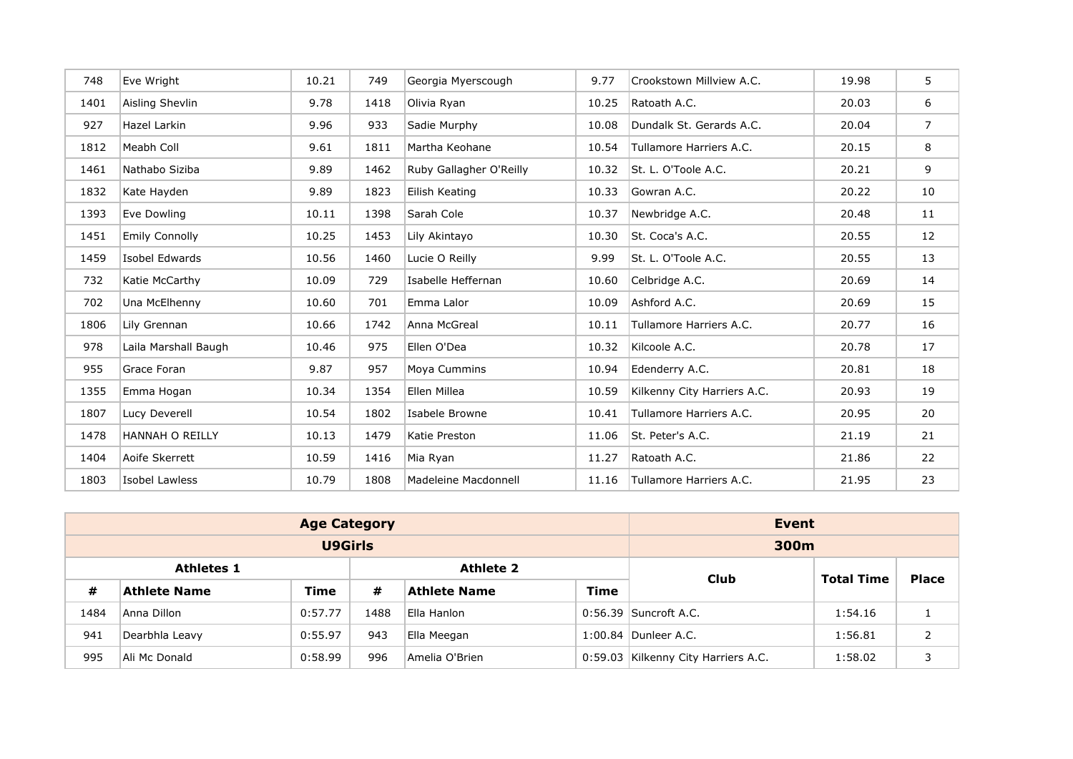| 748  | Eve Wright             | 10.21 | 749  | Georgia Myerscough      | 9.77  | Crookstown Millview A.C.    | 19.98 | 5              |
|------|------------------------|-------|------|-------------------------|-------|-----------------------------|-------|----------------|
| 1401 | Aisling Shevlin        | 9.78  | 1418 | Olivia Ryan             | 10.25 | Ratoath A.C.                | 20.03 | 6              |
| 927  | <b>Hazel Larkin</b>    | 9.96  | 933  | Sadie Murphy            | 10.08 | Dundalk St. Gerards A.C.    | 20.04 | $\overline{7}$ |
| 1812 | Meabh Coll             | 9.61  | 1811 | Martha Keohane          | 10.54 | Tullamore Harriers A.C.     | 20.15 | 8              |
| 1461 | Nathabo Siziba         | 9.89  | 1462 | Ruby Gallagher O'Reilly | 10.32 | St. L. O'Toole A.C.         | 20.21 | 9              |
| 1832 | Kate Hayden            | 9.89  | 1823 | Eilish Keating          | 10.33 | Gowran A.C.                 | 20.22 | 10             |
| 1393 | Eve Dowling            | 10.11 | 1398 | Sarah Cole              | 10.37 | Newbridge A.C.              | 20.48 | 11             |
| 1451 | <b>Emily Connolly</b>  | 10.25 | 1453 | Lily Akintayo           | 10.30 | St. Coca's A.C.             | 20.55 | 12             |
| 1459 | Isobel Edwards         | 10.56 | 1460 | Lucie O Reilly          | 9.99  | St. L. O'Toole A.C.         | 20.55 | 13             |
| 732  | Katie McCarthy         | 10.09 | 729  | Isabelle Heffernan      | 10.60 | Celbridge A.C.              | 20.69 | 14             |
| 702  | Una McElhenny          | 10.60 | 701  | Emma Lalor              | 10.09 | Ashford A.C.                | 20.69 | 15             |
| 1806 | Lily Grennan           | 10.66 | 1742 | Anna McGreal            | 10.11 | Tullamore Harriers A.C.     | 20.77 | 16             |
| 978  | Laila Marshall Baugh   | 10.46 | 975  | Ellen O'Dea             | 10.32 | Kilcoole A.C.               | 20.78 | 17             |
| 955  | Grace Foran            | 9.87  | 957  | Moya Cummins            | 10.94 | Edenderry A.C.              | 20.81 | 18             |
| 1355 | Emma Hogan             | 10.34 | 1354 | Ellen Millea            | 10.59 | Kilkenny City Harriers A.C. | 20.93 | 19             |
| 1807 | Lucy Deverell          | 10.54 | 1802 | Isabele Browne          | 10.41 | Tullamore Harriers A.C.     | 20.95 | 20             |
| 1478 | <b>HANNAH O REILLY</b> | 10.13 | 1479 | Katie Preston           | 11.06 | St. Peter's A.C.            | 21.19 | 21             |
| 1404 | Aoife Skerrett         | 10.59 | 1416 | Mia Ryan                | 11.27 | Ratoath A.C.                | 21.86 | 22             |
| 1803 | Isobel Lawless         | 10.79 | 1808 | Madeleine Macdonnell    | 11.16 | Tullamore Harriers A.C.     | 21.95 | 23             |

|      |                     | <b>Age Category</b> |      |                     |             | Event                               |                   |   |
|------|---------------------|---------------------|------|---------------------|-------------|-------------------------------------|-------------------|---|
|      |                     | U9Girls             |      |                     |             | 300m                                |                   |   |
|      | <b>Athletes 1</b>   |                     |      | <b>Athlete 2</b>    |             | <b>Club</b>                         | <b>Place</b>      |   |
| #    | <b>Athlete Name</b> | <b>Time</b>         | #    | <b>Athlete Name</b> | <b>Time</b> |                                     | <b>Total Time</b> |   |
| 1484 | Anna Dillon         | 0:57.77             | 1488 | Ella Hanlon         |             | $0:56.39$ Suncroft A.C.             | 1:54.16           |   |
| 941  | Dearbhla Leavy      | 0:55.97             | 943  | Ella Meegan         |             | 1:00.84 Dunleer A.C.                | 1:56.81           | 2 |
| 995  | Ali Mc Donald       | 0:58.99             | 996  | Amelia O'Brien      |             | 0:59.03 Kilkenny City Harriers A.C. | 1:58.02           |   |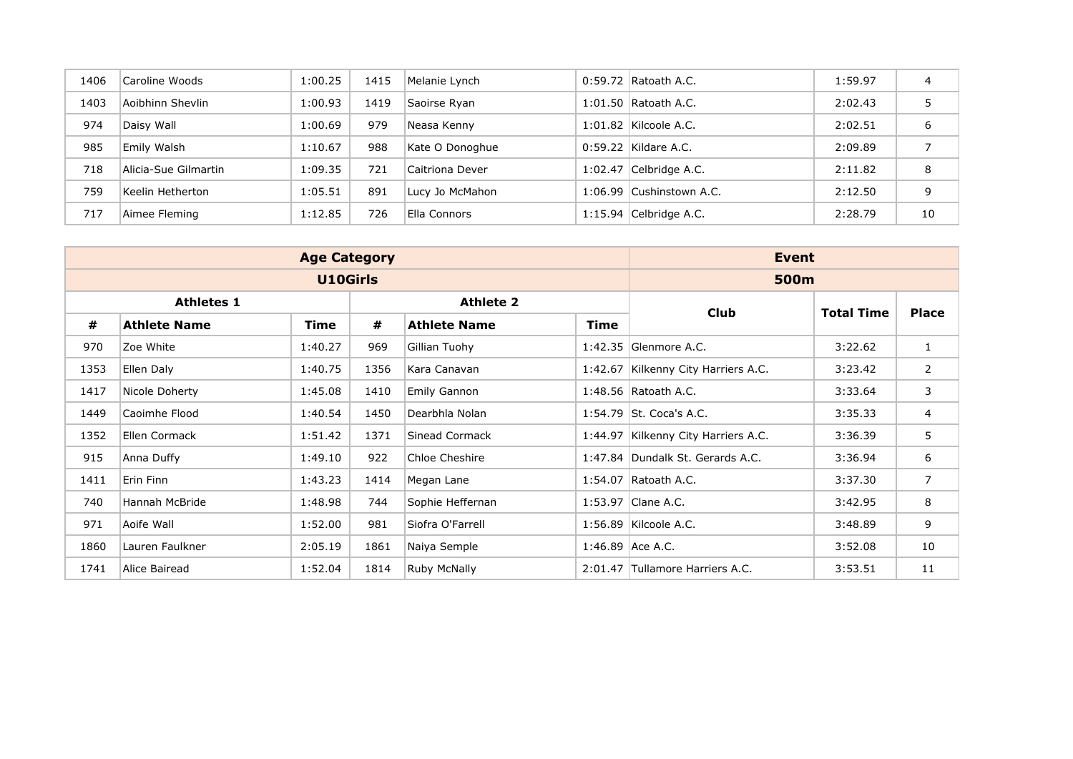| 1406 | Caroline Woods       | 1:00.25 | 1415 | Melanie Lynch   | $0:59.72$ Ratoath A.C.   | 1:59.97 |    |
|------|----------------------|---------|------|-----------------|--------------------------|---------|----|
| 1403 | Aoibhinn Shevlin     | 1:00.93 | 1419 | Saoirse Ryan    | $1:01.50$ Ratoath A.C.   | 2:02.43 | 5  |
| 974  | Daisy Wall           | 1:00.69 | 979  | Neasa Kenny     | $1:01.82$ Kilcoole A.C.  | 2:02.51 | 6  |
| 985  | Emily Walsh          | 1:10.67 | 988  | Kate O Donoghue | 0:59.22 Kildare A.C.     | 2:09.89 |    |
| 718  | Alicia-Sue Gilmartin | 1:09.35 | 721  | Caitriona Dever | $1:02.47$ Celbridge A.C. | 2:11.82 | 8  |
| 759  | Keelin Hetherton     | 1:05.51 | 891  | Lucy Jo McMahon | 1:06.99 Cushinstown A.C. | 2:12.50 | 9  |
| 717  | Aimee Fleming        | 1:12.85 | 726  | Ella Connors    | $1:15.94$ Celbridge A.C. | 2:28.79 | 10 |

|      |                     | <b>Age Category</b> |      |                     |             | Event                               |                   |                |  |
|------|---------------------|---------------------|------|---------------------|-------------|-------------------------------------|-------------------|----------------|--|
|      |                     | U10Girls            |      |                     |             | 500m                                |                   |                |  |
|      | <b>Athletes 1</b>   |                     |      | <b>Athlete 2</b>    |             | Club                                | <b>Total Time</b> |                |  |
| #    | <b>Athlete Name</b> | <b>Time</b>         | #    | <b>Athlete Name</b> | <b>Time</b> |                                     |                   | <b>Place</b>   |  |
| 970  | Zoe White           | 1:40.27             | 969  | Gillian Tuohy       |             | 1:42.35 Glenmore A.C.               | 3:22.62           |                |  |
| 1353 | Ellen Daly          | 1:40.75             | 1356 | Kara Canavan        |             | 1:42.67 Kilkenny City Harriers A.C. | 3:23.42           | $\overline{2}$ |  |
| 1417 | Nicole Doherty      | 1:45.08             | 1410 | Emily Gannon        |             | 1:48.56 Ratoath A.C.                | 3:33.64           | 3              |  |
| 1449 | Caoimhe Flood       | 1:40.54             | 1450 | Dearbhla Nolan      |             | 1:54.79 St. Coca's A.C.             | 3:35.33           | $\overline{4}$ |  |
| 1352 | Ellen Cormack       | 1:51.42             | 1371 | Sinead Cormack      |             | 1:44.97 Kilkenny City Harriers A.C. | 3:36.39           | 5              |  |
| 915  | Anna Duffy          | 1:49.10             | 922  | Chloe Cheshire      |             | 1:47.84 Dundalk St. Gerards A.C.    | 3:36.94           | 6              |  |
| 1411 | Erin Finn           | 1:43.23             | 1414 | Megan Lane          |             | 1:54.07 Ratoath A.C.                | 3:37.30           | $\overline{7}$ |  |
| 740  | Hannah McBride      | 1:48.98             | 744  | Sophie Heffernan    |             | 1:53.97 Clane A.C.                  | 3:42.95           | 8              |  |
| 971  | Aoife Wall          | 1:52.00             | 981  | Siofra O'Farrell    |             | 1:56.89 Kilcoole A.C.               | 3:48.89           | 9              |  |
| 1860 | Lauren Faulkner     | 2:05.19             | 1861 | Naiya Semple        |             | 1:46.89 Ace A.C.                    | 3:52.08           | 10             |  |
| 1741 | Alice Bairead       | 1:52.04             | 1814 | Ruby McNally        |             | 2:01.47 Tullamore Harriers A.C.     | 3:53.51           | 11             |  |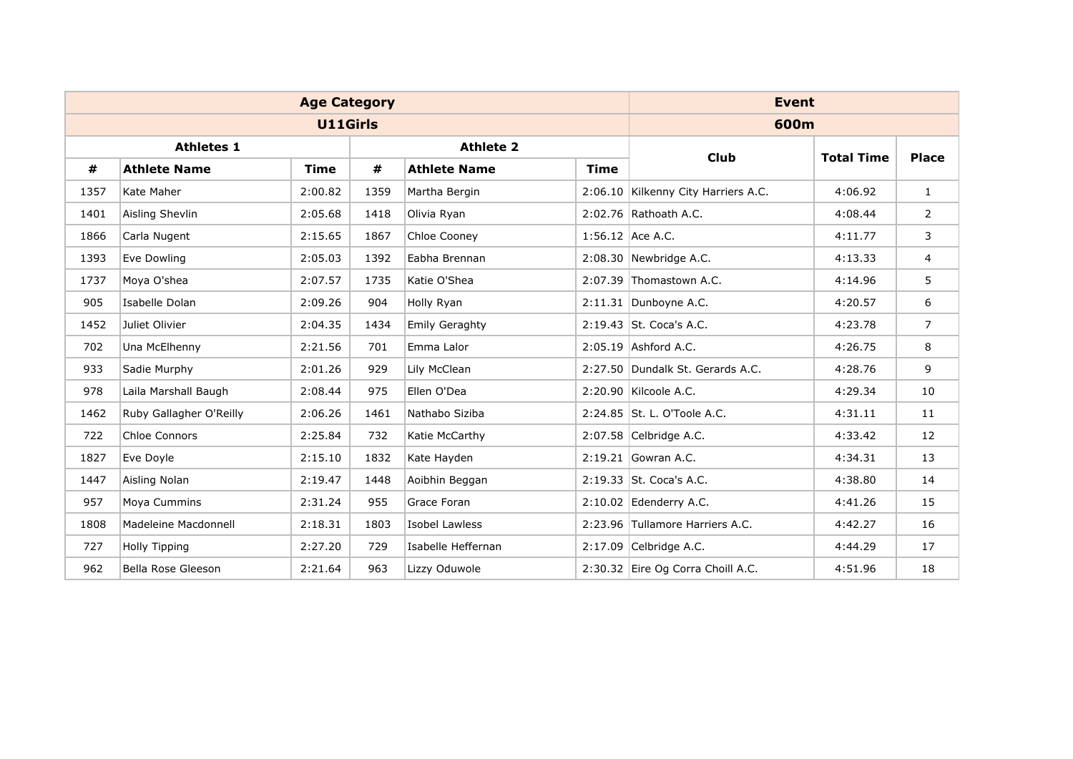|      |                         | <b>Age Category</b> |      |                       |             | <b>Event</b>                        |                   |                |
|------|-------------------------|---------------------|------|-----------------------|-------------|-------------------------------------|-------------------|----------------|
|      |                         | <b>U11Girls</b>     |      |                       |             | 600m                                |                   |                |
|      | <b>Athletes 1</b>       |                     |      | <b>Athlete 2</b>      |             | <b>Club</b>                         | <b>Total Time</b> | <b>Place</b>   |
| #    | <b>Athlete Name</b>     | Time                | #    | <b>Athlete Name</b>   | <b>Time</b> |                                     |                   |                |
| 1357 | Kate Maher              | 2:00.82             | 1359 | Martha Bergin         |             | 2:06.10 Kilkenny City Harriers A.C. | 4:06.92           | $\mathbf{1}$   |
| 1401 | Aisling Shevlin         | 2:05.68             | 1418 | Olivia Ryan           |             | 2:02.76 Rathoath A.C.               | 4:08.44           | 2              |
| 1866 | Carla Nugent            | 2:15.65             | 1867 | Chloe Cooney          |             | 1:56.12 Ace A.C.                    | 4:11.77           | 3              |
| 1393 | Eve Dowling             | 2:05.03             | 1392 | Eabha Brennan         |             | $2:08.30$ Newbridge A.C.            | 4:13.33           | 4              |
| 1737 | Moya O'shea             | 2:07.57             | 1735 | Katie O'Shea          |             | 2:07.39 Thomastown A.C.             | 4:14.96           | 5              |
| 905  | Isabelle Dolan          | 2:09.26             | 904  | Holly Ryan            |             | 2:11.31 Dunboyne A.C.               | 4:20.57           | 6              |
| 1452 | Juliet Olivier          | 2:04.35             | 1434 | <b>Emily Geraghty</b> |             | 2:19.43 St. Coca's A.C.             | 4:23.78           | $\overline{7}$ |
| 702  | Una McElhenny           | 2:21.56             | 701  | Emma Lalor            |             | 2:05.19 Ashford A.C.                | 4:26.75           | 8              |
| 933  | Sadie Murphy            | 2:01.26             | 929  | Lily McClean          |             | 2:27.50 Dundalk St. Gerards A.C.    | 4:28.76           | 9              |
| 978  | Laila Marshall Baugh    | 2:08.44             | 975  | Ellen O'Dea           |             | 2:20.90 Kilcoole A.C.               | 4:29.34           | 10             |
| 1462 | Ruby Gallagher O'Reilly | 2:06.26             | 1461 | Nathabo Siziba        |             | 2:24.85 St. L. O'Toole A.C.         | 4:31.11           | 11             |
| 722  | Chloe Connors           | 2:25.84             | 732  | Katie McCarthy        |             | 2:07.58 Celbridge A.C.              | 4:33.42           | 12             |
| 1827 | Eve Doyle               | 2:15.10             | 1832 | Kate Hayden           |             | 2:19.21 Gowran A.C.                 | 4:34.31           | 13             |
| 1447 | Aisling Nolan           | 2:19.47             | 1448 | Aoibhin Beggan        |             | 2:19.33 St. Coca's A.C.             | 4:38.80           | 14             |
| 957  | Moya Cummins            | 2:31.24             | 955  | Grace Foran           |             | $2:10.02$ Edenderry A.C.            | 4:41.26           | 15             |
| 1808 | Madeleine Macdonnell    | 2:18.31             | 1803 | <b>Isobel Lawless</b> |             | 2:23.96 Tullamore Harriers A.C.     | 4:42.27           | 16             |
| 727  | Holly Tipping           | 2:27.20             | 729  | Isabelle Heffernan    |             | 2:17.09 Celbridge A.C.              | 4:44.29           | 17             |
| 962  | Bella Rose Gleeson      | 2:21.64             | 963  | Lizzy Oduwole         |             | 2:30.32 Eire Og Corra Choill A.C.   | 4:51.96           | 18             |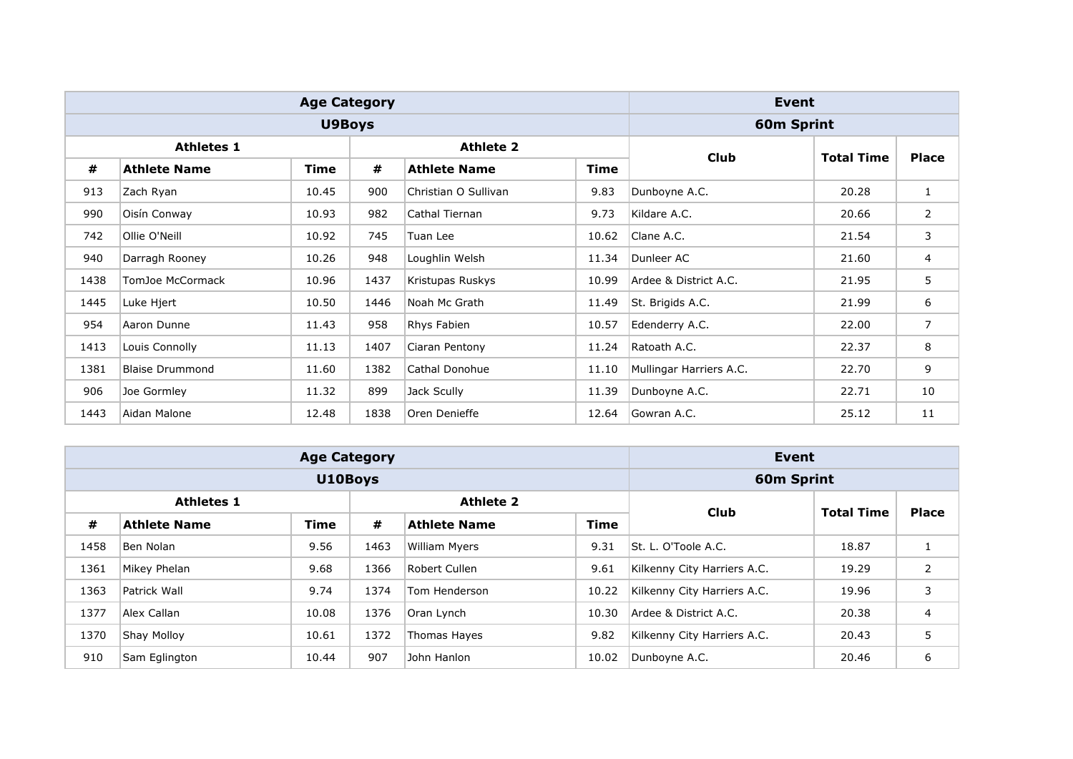|      |                        | <b>Age Category</b> |      |                      |             | Event                   |                   |                |  |
|------|------------------------|---------------------|------|----------------------|-------------|-------------------------|-------------------|----------------|--|
|      |                        | <b>U9Boys</b>       |      |                      |             | 60m Sprint              |                   |                |  |
|      | <b>Athletes 1</b>      |                     |      | <b>Athlete 2</b>     |             | Club                    | <b>Total Time</b> |                |  |
| #    | <b>Athlete Name</b>    | Time                | #    | <b>Athlete Name</b>  | <b>Time</b> |                         |                   | <b>Place</b>   |  |
| 913  | Zach Ryan              | 10.45               | 900  | Christian O Sullivan | 9.83        | Dunboyne A.C.           | 20.28             | $\mathbf{1}$   |  |
| 990  | Oisín Conway           | 10.93               | 982  | Cathal Tiernan       | 9.73        | Kildare A.C.            | 20.66             | $\overline{2}$ |  |
| 742  | Ollie O'Neill          | 10.92               | 745  | Tuan Lee             | 10.62       | Clane A.C.              | 21.54             | 3              |  |
| 940  | Darragh Rooney         | 10.26               | 948  | Loughlin Welsh       | 11.34       | Dunleer AC              | 21.60             | 4              |  |
| 1438 | TomJoe McCormack       | 10.96               | 1437 | Kristupas Ruskys     | 10.99       | Ardee & District A.C.   | 21.95             | 5              |  |
| 1445 | Luke Hjert             | 10.50               | 1446 | Noah Mc Grath        | 11.49       | St. Brigids A.C.        | 21.99             | 6              |  |
| 954  | Aaron Dunne            | 11.43               | 958  | Rhys Fabien          | 10.57       | Edenderry A.C.          | 22.00             | $\overline{7}$ |  |
| 1413 | Louis Connolly         | 11.13               | 1407 | Ciaran Pentony       | 11.24       | Ratoath A.C.            | 22.37             | 8              |  |
| 1381 | <b>Blaise Drummond</b> | 11.60               | 1382 | Cathal Donohue       | 11.10       | Mullingar Harriers A.C. | 22.70             | 9              |  |
| 906  | Joe Gormley            | 11.32               | 899  | Jack Scully          | 11.39       | Dunboyne A.C.           | 22.71             | 10             |  |
| 1443 | Aidan Malone           | 12.48               | 1838 | Oren Denieffe        | 12.64       | Gowran A.C.             | 25.12             | 11             |  |

|      |                      | <b>Age Category</b> |                   |                      |             | Event                       |       |   |
|------|----------------------|---------------------|-------------------|----------------------|-------------|-----------------------------|-------|---|
|      |                      | U10Boys             |                   |                      |             | 60m Sprint                  |       |   |
|      | <b>Athletes 1</b>    | Club                | <b>Total Time</b> | <b>Place</b>         |             |                             |       |   |
| #    | <b>Athlete Name</b>  | <b>Time</b>         | #                 | <b>Athlete Name</b>  | <b>Time</b> |                             |       |   |
| 1458 | Ben Nolan            | 9.56                | 1463              | <b>William Myers</b> | 9.31        | St. L. O'Toole A.C.         | 18.87 |   |
| 1361 | Mikey Phelan         | 9.68                | 1366              | Robert Cullen        | 9.61        | Kilkenny City Harriers A.C. | 19.29 | 2 |
| 1363 | Patrick Wall         | 9.74                | 1374              | Tom Henderson        | 10.22       | Kilkenny City Harriers A.C. | 19.96 | 3 |
| 1377 | Alex Callan          | 10.08               | 1376              | Oran Lynch           | 10.30       | Ardee & District A.C.       | 20.38 | 4 |
| 1370 | Shay Molloy<br>10.61 |                     |                   | Thomas Hayes         | 9.82        | Kilkenny City Harriers A.C. | 20.43 | 5 |
| 910  | Sam Eglington        | 10.44               | 907               | John Hanlon          | 10.02       | Dunboyne A.C.               | 20.46 | 6 |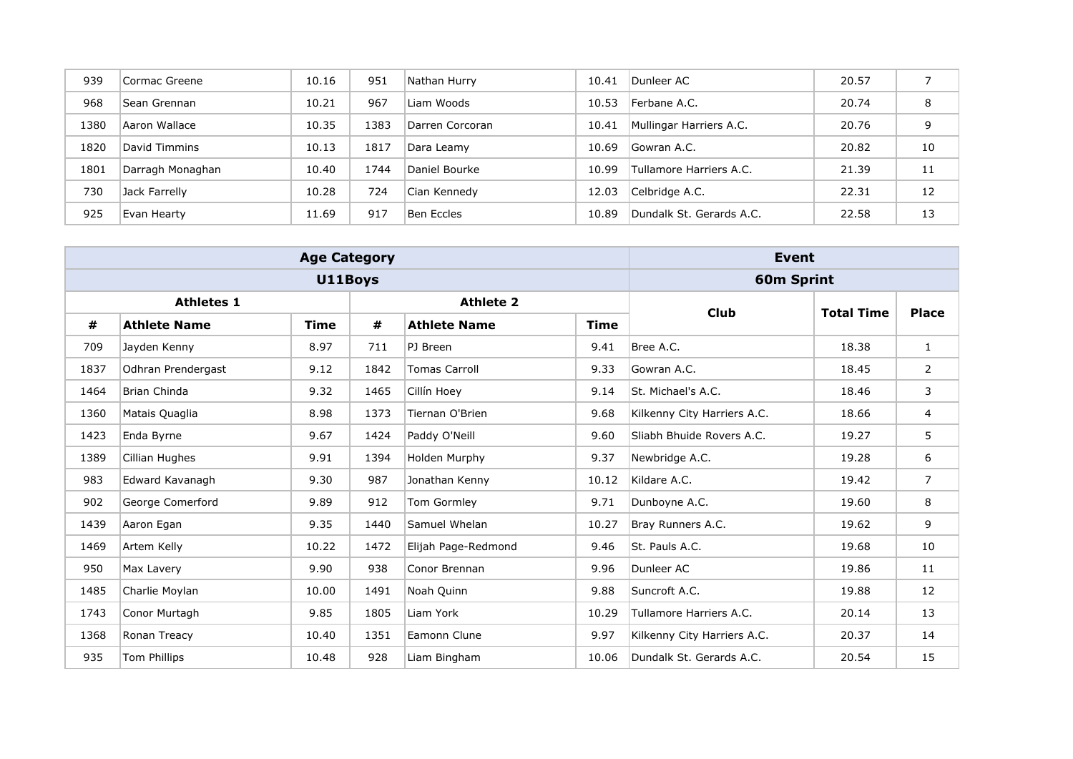| 939  | Cormac Greene    | 10.16 | 951  | Nathan Hurry    | 10.41 | Dunleer AC               | 20.57 |    |
|------|------------------|-------|------|-----------------|-------|--------------------------|-------|----|
| 968  | Sean Grennan     | 10.21 | 967  | Liam Woods      | 10.53 | Ferbane A.C.             | 20.74 | 8  |
| 1380 | Aaron Wallace    | 10.35 | 1383 | Darren Corcoran | 10.41 | Mullingar Harriers A.C.  | 20.76 | 9  |
| 1820 | David Timmins    | 10.13 | 1817 | Dara Leamy      | 10.69 | Gowran A.C.              | 20.82 | 10 |
| 1801 | Darragh Monaghan | 10.40 | 1744 | Daniel Bourke   | 10.99 | Tullamore Harriers A.C.  | 21.39 | 11 |
| 730  | Jack Farrelly    | 10.28 | 724  | Cian Kennedy    | 12.03 | Celbridge A.C.           | 22.31 | 12 |
| 925  | Evan Hearty      | 11.69 | 917  | Ben Eccles      | 10.89 | Dundalk St. Gerards A.C. | 22.58 | 13 |

| <b>Age Category</b> |                     |             |                   |                      |             | <b>Event</b>                |                   |                |  |
|---------------------|---------------------|-------------|-------------------|----------------------|-------------|-----------------------------|-------------------|----------------|--|
|                     |                     | U11Boys     | <b>60m Sprint</b> |                      |             |                             |                   |                |  |
| <b>Athletes 1</b>   |                     |             | <b>Athlete 2</b>  |                      |             | <b>Club</b>                 | <b>Total Time</b> | <b>Place</b>   |  |
| #                   | <b>Athlete Name</b> | <b>Time</b> | #                 | <b>Athlete Name</b>  | <b>Time</b> |                             |                   |                |  |
| 709                 | Jayden Kenny        | 8.97        | 711               | PJ Breen             | 9.41        | Bree A.C.                   | 18.38             | 1              |  |
| 1837                | Odhran Prendergast  | 9.12        | 1842              | <b>Tomas Carroll</b> | 9.33        | Gowran A.C.                 | 18.45             | $\overline{2}$ |  |
| 1464                | Brian Chinda        | 9.32        | 1465              | Cillín Hoey          | 9.14        | St. Michael's A.C.          | 18.46             | 3              |  |
| 1360                | Matais Quaglia      | 8.98        | 1373              | Tiernan O'Brien      | 9.68        | Kilkenny City Harriers A.C. | 18.66             | 4              |  |
| 1423                | Enda Byrne          | 9.67        | 1424              | Paddy O'Neill        | 9.60        | Sliabh Bhuide Rovers A.C.   | 19.27             | 5              |  |
| 1389                | Cillian Hughes      | 9.91        | 1394              | Holden Murphy        | 9.37        | Newbridge A.C.              | 19.28             | 6              |  |
| 983                 | Edward Kavanagh     | 9.30        | 987               | Jonathan Kenny       | 10.12       | Kildare A.C.                | 19.42             | 7              |  |
| 902                 | George Comerford    | 9.89        | 912               | Tom Gormley          | 9.71        | Dunboyne A.C.               | 19.60             | 8              |  |
| 1439                | Aaron Egan          | 9.35        | 1440              | Samuel Whelan        | 10.27       | Bray Runners A.C.           | 19.62             | 9              |  |
| 1469                | Artem Kelly         | 10.22       | 1472              | Elijah Page-Redmond  | 9.46        | St. Pauls A.C.              | 19.68             | 10             |  |
| 950                 | Max Lavery          | 9.90        | 938               | Conor Brennan        | 9.96        | Dunleer AC                  | 19.86             | 11             |  |
| 1485                | Charlie Moylan      | 10.00       | 1491              | Noah Quinn           | 9.88        | Suncroft A.C.               | 19.88             | 12             |  |
| 1743                | Conor Murtagh       | 9.85        | 1805              | Liam York            | 10.29       | Tullamore Harriers A.C.     | 20.14             | 13             |  |
| 1368                | Ronan Treacy        | 10.40       | 1351              | Eamonn Clune         | 9.97        | Kilkenny City Harriers A.C. | 20.37             | 14             |  |
| 935                 | Tom Phillips        | 10.48       | 928               | Liam Bingham         | 10.06       | Dundalk St. Gerards A.C.    | 20.54             | 15             |  |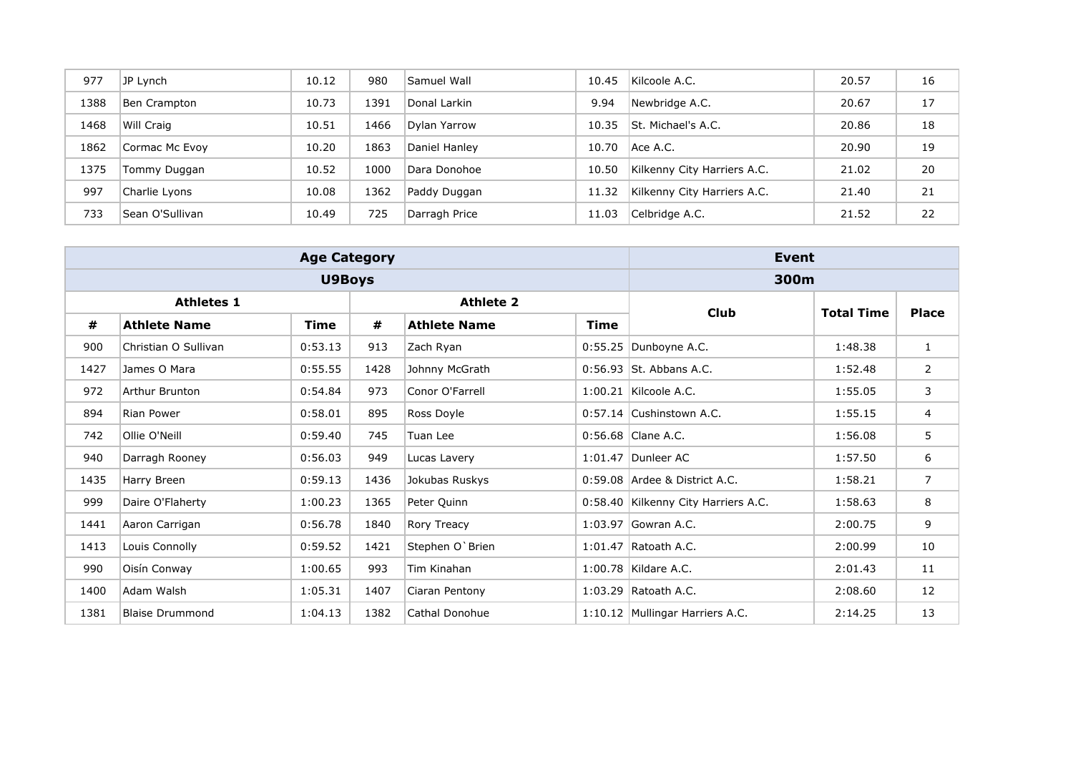| 977  | JP Lynch        | 10.12 | 980  | Samuel Wall   | 10.45 | Kilcoole A.C.               | 20.57 | 16 |
|------|-----------------|-------|------|---------------|-------|-----------------------------|-------|----|
| 1388 | Ben Crampton    | 10.73 | 1391 | Donal Larkin  | 9.94  | Newbridge A.C.              | 20.67 | 17 |
| 1468 | Will Craig      | 10.51 | 1466 | Dylan Yarrow  | 10.35 | St. Michael's A.C.          | 20.86 | 18 |
| 1862 | Cormac Mc Evoy  | 10.20 | 1863 | Daniel Hanley | 10.70 | Ace A.C.                    | 20.90 | 19 |
| 1375 | Tommy Duggan    | 10.52 | 1000 | Dara Donohoe  | 10.50 | Kilkenny City Harriers A.C. | 21.02 | 20 |
| 997  | Charlie Lyons   | 10.08 | 1362 | Paddy Duggan  | 11.32 | Kilkenny City Harriers A.C. | 21.40 | 21 |
| 733  | Sean O'Sullivan | 10.49 | 725  | Darragh Price | 11.03 | Celbridge A.C.              | 21.52 | 22 |

|                   |                        | <b>Age Category</b> | Event            |                     |             |                                     |                   |                |
|-------------------|------------------------|---------------------|------------------|---------------------|-------------|-------------------------------------|-------------------|----------------|
|                   |                        | <b>U9Boys</b>       | 300m             |                     |             |                                     |                   |                |
| <b>Athletes 1</b> |                        |                     | <b>Athlete 2</b> |                     |             | <b>Club</b>                         | <b>Total Time</b> | <b>Place</b>   |
| #                 | <b>Athlete Name</b>    | Time                | #                | <b>Athlete Name</b> | <b>Time</b> |                                     |                   |                |
| 900               | Christian O Sullivan   | 0:53.13             | 913              | Zach Ryan           |             | 0:55.25 Dunboyne A.C.               | 1:48.38           | $\mathbf{1}$   |
| 1427              | James O Mara           | 0:55.55             | 1428             | Johnny McGrath      |             | 0:56.93 St. Abbans A.C.             | 1:52.48           | $\overline{2}$ |
| 972               | Arthur Brunton         | 0:54.84             | 973              | Conor O'Farrell     |             | 1:00.21 Kilcoole A.C.               | 1:55.05           | 3              |
| 894               | Rian Power             | 0:58.01             | 895              | Ross Doyle          |             | 0:57.14 Cushinstown A.C.            | 1:55.15           | 4              |
| 742               | Ollie O'Neill          | 0:59.40             | 745              | Tuan Lee            |             | $0:56.68$ Clane A.C.                | 1:56.08           | 5              |
| 940               | Darragh Rooney         | 0:56.03             | 949              | Lucas Lavery        |             | 1:01.47 Dunleer AC                  | 1:57.50           | 6              |
| 1435              | Harry Breen            | 0:59.13             | 1436             | Jokubas Ruskys      |             | 0:59.08 Ardee & District A.C.       | 1:58.21           | $\overline{7}$ |
| 999               | Daire O'Flaherty       | 1:00.23             | 1365             | Peter Quinn         |             | 0:58.40 Kilkenny City Harriers A.C. | 1:58.63           | 8              |
| 1441              | Aaron Carrigan         | 0:56.78             | 1840             | Rory Treacy         |             | 1:03.97 Gowran A.C.                 | 2:00.75           | 9              |
| 1413              | Louis Connolly         | 0:59.52             | 1421             | Stephen O'Brien     |             | 1:01.47 Ratoath A.C.                | 2:00.99           | 10             |
| 990               | Oisín Conway           | 1:00.65             | 993              | Tim Kinahan         |             | 1:00.78 Kildare A.C.                | 2:01.43           | 11             |
| 1400              | Adam Walsh             | 1:05.31             | 1407             | Ciaran Pentony      |             | 1:03.29 Ratoath A.C.                | 2:08.60           | 12             |
| 1381              | <b>Blaise Drummond</b> | 1:04.13             | 1382             | Cathal Donohue      |             | 1:10.12 Mullingar Harriers A.C.     | 2:14.25           | 13             |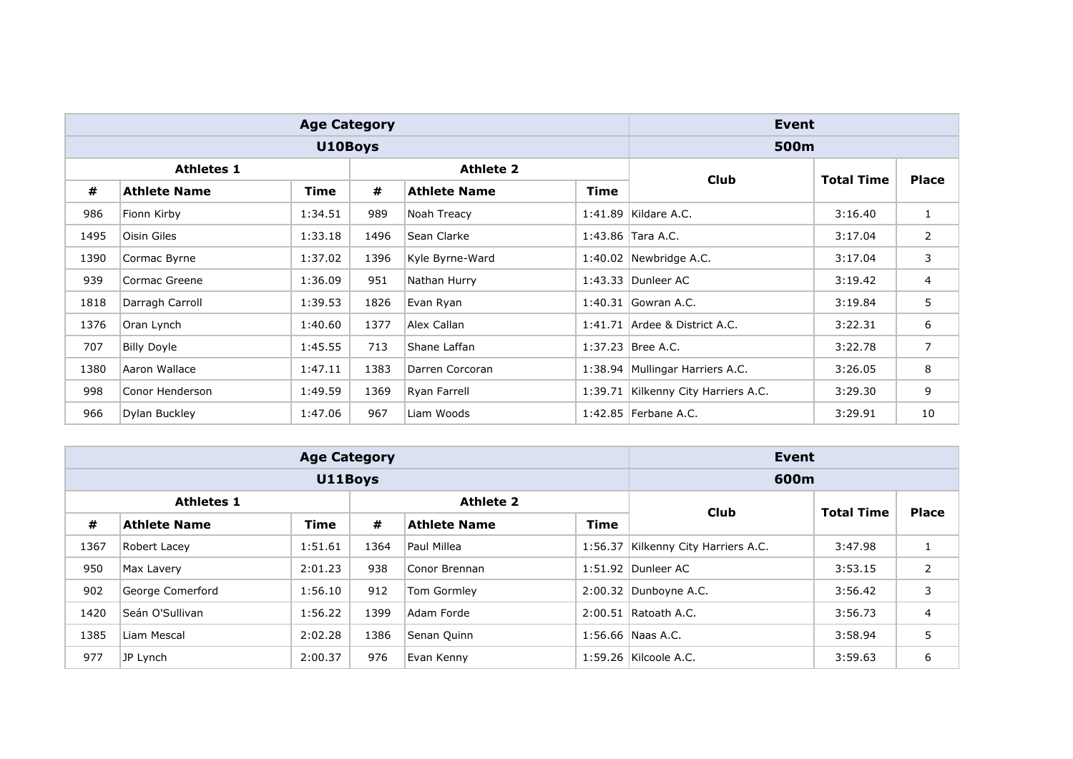|                   |                     | <b>Age Category</b> | Event            |                     |             |                                     |                   |                |
|-------------------|---------------------|---------------------|------------------|---------------------|-------------|-------------------------------------|-------------------|----------------|
|                   |                     | U10Boys             | 500m             |                     |             |                                     |                   |                |
| <b>Athletes 1</b> |                     |                     | <b>Athlete 2</b> |                     |             | <b>Club</b>                         | <b>Total Time</b> |                |
| #                 | <b>Athlete Name</b> | <b>Time</b>         | #                | <b>Athlete Name</b> | <b>Time</b> |                                     |                   | <b>Place</b>   |
| 986               | Fionn Kirby         | 1:34.51             | 989              | Noah Treacy         |             | 1:41.89 Kildare A.C.                | 3:16.40           | $\mathbf{1}$   |
| 1495              | Oisin Giles         | 1:33.18             | 1496             | Sean Clarke         |             | 1:43.86 Tara A.C.                   | 3:17.04           | $\overline{2}$ |
| 1390              | Cormac Byrne        | 1:37.02             | 1396             | Kyle Byrne-Ward     |             | 1:40.02 Newbridge A.C.              | 3:17.04           | 3              |
| 939               | Cormac Greene       | 1:36.09             | 951              | Nathan Hurry        |             | 1:43.33 Dunleer AC                  | 3:19.42           | $\overline{4}$ |
| 1818              | Darragh Carroll     | 1:39.53             | 1826             | Evan Ryan           |             | 1:40.31 Gowran A.C.                 | 3:19.84           | 5              |
| 1376              | Oran Lynch          | 1:40.60             | 1377             | Alex Callan         |             | $1:41.71$ Ardee & District A.C.     | 3:22.31           | 6              |
| 707               | <b>Billy Doyle</b>  | 1:45.55             | 713              | Shane Laffan        |             | 1:37.23 Bree A.C.                   | 3:22.78           | $\overline{7}$ |
| 1380              | Aaron Wallace       | 1:47.11             | 1383             | Darren Corcoran     |             | 1:38.94 Mullingar Harriers A.C.     | 3:26.05           | 8              |
| 998               | Conor Henderson     | 1:49.59             | 1369             | Ryan Farrell        |             | 1:39.71 Kilkenny City Harriers A.C. | 3:29.30           | 9              |
| 966               | Dylan Buckley       | 1:47.06             | 967              | Liam Woods          |             | 1:42.85 Ferbane A.C.                | 3:29.91           | 10             |

|                   |                     | <b>Age Category</b> | Event            |                     |             |                                     |                   |                |
|-------------------|---------------------|---------------------|------------------|---------------------|-------------|-------------------------------------|-------------------|----------------|
|                   |                     | U11Boys             | 600m             |                     |             |                                     |                   |                |
| <b>Athletes 1</b> |                     |                     | <b>Athlete 2</b> |                     |             | <b>Club</b>                         | <b>Total Time</b> | <b>Place</b>   |
| #                 | <b>Athlete Name</b> | <b>Time</b>         | #                | <b>Athlete Name</b> | <b>Time</b> |                                     |                   |                |
| 1367              | Robert Lacey        | 1:51.61             | 1364             | Paul Millea         |             | 1:56.37 Kilkenny City Harriers A.C. | 3:47.98           |                |
| 950               | Max Lavery          | 2:01.23             | 938              | Conor Brennan       |             | 1:51.92 Dunleer AC                  | 3:53.15           | $\overline{2}$ |
| 902               | George Comerford    | 1:56.10             | 912              | Tom Gormley         |             | 2:00.32 Dunboyne A.C.               | 3:56.42           | 3              |
| 1420              | Seán O'Sullivan     | 1:56.22             | 1399             | Adam Forde          |             | $2:00.51$ Ratoath A.C.              | 3:56.73           | $\overline{4}$ |
| 1385              | Liam Mescal         | 2:02.28             | 1386             | Senan Quinn         |             | $1:56.66$ Naas A.C.                 | 3:58.94           | 5              |
| 977               | JP Lynch            | 2:00.37             | 976              | Evan Kenny          |             | 1:59.26 Kilcoole A.C.               | 3:59.63           | 6              |